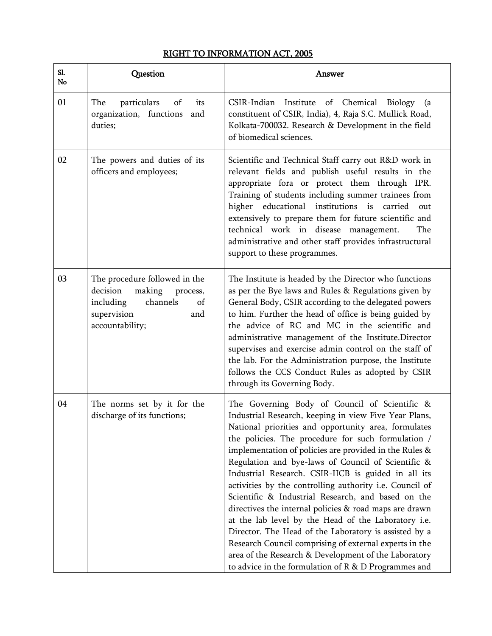## RIGHT TO INFORMATION ACT, 2005

| Sl.<br>No | Question                                                                                                                                | Answer                                                                                                                                                                                                                                                                                                                                                                                                                                                                                                                                                                                                                                                                                                                                                                                                                                                           |
|-----------|-----------------------------------------------------------------------------------------------------------------------------------------|------------------------------------------------------------------------------------------------------------------------------------------------------------------------------------------------------------------------------------------------------------------------------------------------------------------------------------------------------------------------------------------------------------------------------------------------------------------------------------------------------------------------------------------------------------------------------------------------------------------------------------------------------------------------------------------------------------------------------------------------------------------------------------------------------------------------------------------------------------------|
| 01        | The<br>particulars<br>of<br>its<br>organization, functions<br>and<br>duties;                                                            | CSIR-Indian Institute of Chemical Biology<br>(a<br>constituent of CSIR, India), 4, Raja S.C. Mullick Road,<br>Kolkata-700032. Research & Development in the field<br>of biomedical sciences.                                                                                                                                                                                                                                                                                                                                                                                                                                                                                                                                                                                                                                                                     |
| 02        | The powers and duties of its<br>officers and employees;                                                                                 | Scientific and Technical Staff carry out R&D work in<br>relevant fields and publish useful results in the<br>appropriate fora or protect them through IPR.<br>Training of students including summer trainees from<br>higher educational institutions is<br>carried<br>out<br>extensively to prepare them for future scientific and<br>technical work in disease management.<br>The<br>administrative and other staff provides infrastructural<br>support to these programmes.                                                                                                                                                                                                                                                                                                                                                                                    |
| 03        | The procedure followed in the<br>decision<br>making<br>process,<br>channels<br>including<br>of<br>supervision<br>and<br>accountability; | The Institute is headed by the Director who functions<br>as per the Bye laws and Rules & Regulations given by<br>General Body, CSIR according to the delegated powers<br>to him. Further the head of office is being guided by<br>the advice of RC and MC in the scientific and<br>administrative management of the Institute.Director<br>supervises and exercise admin control on the staff of<br>the lab. For the Administration purpose, the Institute<br>follows the CCS Conduct Rules as adopted by CSIR<br>through its Governing Body.                                                                                                                                                                                                                                                                                                                     |
| 04        | The norms set by it for the<br>discharge of its functions;                                                                              | The Governing Body of Council of Scientific &<br>Industrial Research, keeping in view Five Year Plans,<br>National priorities and opportunity area, formulates<br>the policies. The procedure for such formulation /<br>implementation of policies are provided in the Rules &<br>Regulation and bye-laws of Council of Scientific &<br>Industrial Research. CSIR-IICB is guided in all its<br>activities by the controlling authority i.e. Council of<br>Scientific & Industrial Research, and based on the<br>directives the internal policies & road maps are drawn<br>at the lab level by the Head of the Laboratory i.e.<br>Director. The Head of the Laboratory is assisted by a<br>Research Council comprising of external experts in the<br>area of the Research & Development of the Laboratory<br>to advice in the formulation of R & D Programmes and |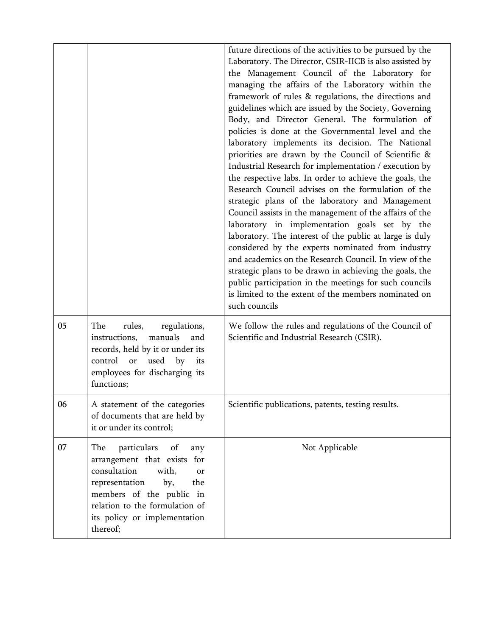|    |                                                                                                                                                                                                                                         | future directions of the activities to be pursued by the<br>Laboratory. The Director, CSIR-IICB is also assisted by<br>the Management Council of the Laboratory for<br>managing the affairs of the Laboratory within the<br>framework of rules & regulations, the directions and<br>guidelines which are issued by the Society, Governing<br>Body, and Director General. The formulation of<br>policies is done at the Governmental level and the<br>laboratory implements its decision. The National<br>priorities are drawn by the Council of Scientific &<br>Industrial Research for implementation / execution by<br>the respective labs. In order to achieve the goals, the<br>Research Council advises on the formulation of the<br>strategic plans of the laboratory and Management<br>Council assists in the management of the affairs of the<br>laboratory in implementation goals set by the<br>laboratory. The interest of the public at large is duly<br>considered by the experts nominated from industry<br>and academics on the Research Council. In view of the<br>strategic plans to be drawn in achieving the goals, the<br>public participation in the meetings for such councils<br>is limited to the extent of the members nominated on<br>such councils |
|----|-----------------------------------------------------------------------------------------------------------------------------------------------------------------------------------------------------------------------------------------|-------------------------------------------------------------------------------------------------------------------------------------------------------------------------------------------------------------------------------------------------------------------------------------------------------------------------------------------------------------------------------------------------------------------------------------------------------------------------------------------------------------------------------------------------------------------------------------------------------------------------------------------------------------------------------------------------------------------------------------------------------------------------------------------------------------------------------------------------------------------------------------------------------------------------------------------------------------------------------------------------------------------------------------------------------------------------------------------------------------------------------------------------------------------------------------------------------------------------------------------------------------------------------|
| 05 | The<br>rules,<br>regulations,<br>manuals<br>instructions,<br>and<br>records, held by it or under its<br>control<br>used<br>or<br>by<br>its<br>employees for discharging its<br>functions;                                               | We follow the rules and regulations of the Council of<br>Scientific and Industrial Research (CSIR).                                                                                                                                                                                                                                                                                                                                                                                                                                                                                                                                                                                                                                                                                                                                                                                                                                                                                                                                                                                                                                                                                                                                                                           |
| 06 | A statement of the categories<br>of documents that are held by<br>it or under its control;                                                                                                                                              | Scientific publications, patents, testing results.                                                                                                                                                                                                                                                                                                                                                                                                                                                                                                                                                                                                                                                                                                                                                                                                                                                                                                                                                                                                                                                                                                                                                                                                                            |
| 07 | particulars<br>The<br>of<br>any<br>arrangement that exists for<br>consultation<br>with,<br>0r<br>representation<br>by,<br>the<br>members of the public in<br>relation to the formulation of<br>its policy or implementation<br>thereof; | Not Applicable                                                                                                                                                                                                                                                                                                                                                                                                                                                                                                                                                                                                                                                                                                                                                                                                                                                                                                                                                                                                                                                                                                                                                                                                                                                                |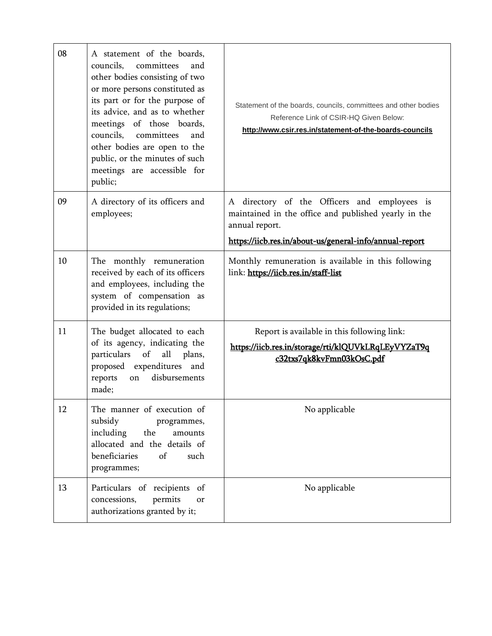| 08 | A statement of the boards,<br>councils.<br>committees<br>and<br>other bodies consisting of two<br>or more persons constituted as<br>its part or for the purpose of<br>its advice, and as to whether<br>meetings of those boards,<br>councils, committees<br>and<br>other bodies are open to the<br>public, or the minutes of such<br>meetings are accessible for<br>public; | Statement of the boards, councils, committees and other bodies<br>Reference Link of CSIR-HQ Given Below:<br>http://www.csir.res.in/statement-of-the-boards-councils |
|----|-----------------------------------------------------------------------------------------------------------------------------------------------------------------------------------------------------------------------------------------------------------------------------------------------------------------------------------------------------------------------------|---------------------------------------------------------------------------------------------------------------------------------------------------------------------|
| 09 | A directory of its officers and<br>employees;                                                                                                                                                                                                                                                                                                                               | A directory of the Officers and employees is<br>maintained in the office and published yearly in the<br>annual report.                                              |
|    |                                                                                                                                                                                                                                                                                                                                                                             | https://iicb.res.in/about-us/general-info/annual-report                                                                                                             |
| 10 | The monthly remuneration<br>received by each of its officers<br>and employees, including the<br>system of compensation as<br>provided in its regulations;                                                                                                                                                                                                                   | Monthly remuneration is available in this following<br>link: https://iicb.res.in/staff-list                                                                         |
| 11 | The budget allocated to each<br>of its agency, indicating the<br>particulars<br>of<br>all<br>plans,<br>proposed expenditures and<br>disbursements<br>reports<br>on<br>made;                                                                                                                                                                                                 | Report is available in this following link:<br>https://iicb.res.in/storage/rti/klQUVkLRqLEyVYZaT9q<br>c32txs7qk8kvFmn03kOsC.pdf                                     |
| 12 | The manner of execution of<br>subsidy<br>programmes,<br>including<br>the<br>amounts<br>allocated and the details of<br>beneficiaries<br>of<br>such<br>programmes;                                                                                                                                                                                                           | No applicable                                                                                                                                                       |
| 13 | Particulars of recipients<br>of<br>permits<br>concessions,<br>or<br>authorizations granted by it;                                                                                                                                                                                                                                                                           | No applicable                                                                                                                                                       |